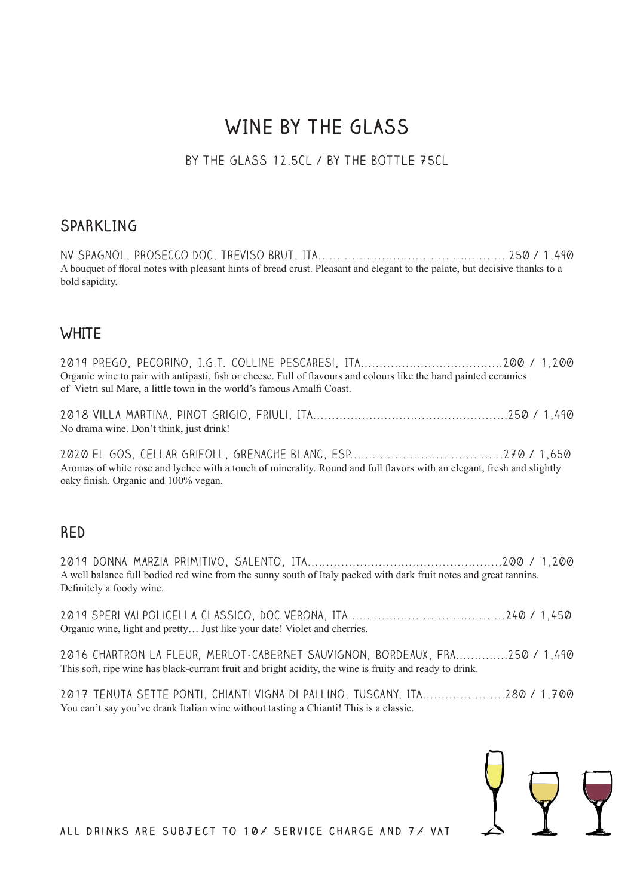## **WINE BY THE GLASS**

#### BY THE GLASS 12.5CL / BY THE BOTTLE 75CL

#### **SPARKLING**

NV Spagnol, Prosecco DOC, Treviso Brut, ITA...................................................250 / 1,490 A bouquet of floral notes with pleasant hints of bread crust. Pleasant and elegant to the palate, but decisive thanks to a bold sapidity.

#### **WHITE**

| Organic wine to pair with antipasti, fish or cheese. Full of flavours and colours like the hand painted ceramics<br>of Vietri sul Mare, a little town in the world's famous Amalfi Coast. |  |
|-------------------------------------------------------------------------------------------------------------------------------------------------------------------------------------------|--|
| No drama wine. Don't think, just drink!                                                                                                                                                   |  |
| Aromas of white rose and lychee with a touch of minerality. Round and full flavors with an elegant, fresh and slightly<br>oaky finish. Organic and 100% vegan.                            |  |
| <b>RED</b>                                                                                                                                                                                |  |
| A well balance full bodied red wine from the sunny south of Italy packed with dark fruit notes and great tannins.<br>Definitely a foody wine.                                             |  |
| Organic wine, light and pretty Just like your date! Violet and cherries.                                                                                                                  |  |
| 2016 CHARTRON LA FLEUR, MERLOT-CABERNET SAUVIGNON, BORDEAUX, FRA250 / 1,490<br>This soft, ripe wine has black-currant fruit and bright acidity, the wine is fruity and ready to drink.    |  |
|                                                                                                                                                                                           |  |

2017 Tenuta Sette Ponti, Chianti Vigna di Pallino, Tuscany, ITA......................280 / 1,700 You can't say you've drank Italian wine without tasting a Chianti! This is a classic.



**all drinks are subject to 10% service charge and 7% VAT**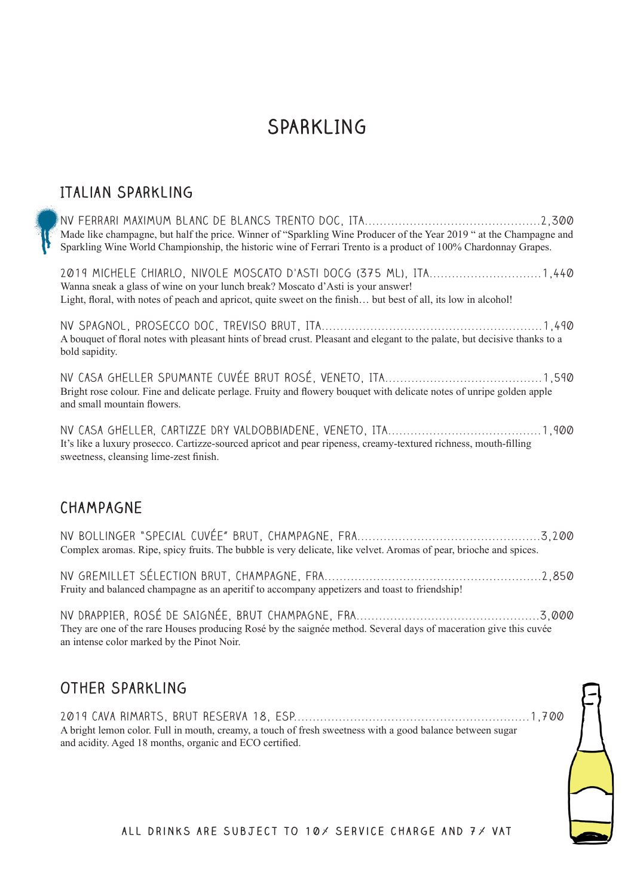### **SPARKLING**

#### **Italian SParkling**

NV Ferrari Maximum blanc de blancs trento doc, ITA...............................................2,300 Made like champagne, but half the price. Winner of "Sparkling Wine Producer of the Year 2019 " at the Champagne and Sparkling Wine World Championship, the historic wine of Ferrari Trento is a product of 100% Chardonnay Grapes. 2019 Michele Chiarlo, Nivole Moscato d'Asti DOCG (375 ml), ITA..............................1,440 Wanna sneak a glass of wine on your lunch break? Moscato d'Asti is your answer! Light, floral, with notes of peach and apricot, quite sweet on the finish... but best of all, its low in alcohol! NV Spagnol, Prosecco DOC, Treviso Brut, ITA...........................................................1,490 A bouquet of floral notes with pleasant hints of bread crust. Pleasant and elegant to the palate, but decisive thanks to a bold sapidity. Nv Casa Gheller Spumante Cuvée Brut Rosé, Veneto, ITA..........................................1,590 Bright rose colour. Fine and delicate perlage. Fruity and flowery bouquet with delicate notes of unripe golden apple and small mountain flowers. NV Casa Gheller, Cartizze Dry Valdobbiadene, Veneto, ITA.........................................1,900 It's like a luxury prosecco. Cartizze-sourced apricot and pear ripeness, creamy-textured richness, mouth-filling sweetness, cleansing lime-zest finish.

#### **Champagne**

NV Bollinger "Special Cuvée" brut, Champagne, Fra.................................................3,200 Complex aromas. Ripe, spicy fruits. The bubble is very delicate, like velvet. Aromas of pear, brioche and spices.

NV Gremillet sélection brut, Champagne, FrA..........................................................2,850 Fruity and balanced champagne as an aperitif to accompany appetizers and toast to friendship!

NV DRAPPIER, ROSÉ DE SAIGNÉE, BRUT CHAMPAGNE, FRA.................................................3,000 They are one of the rare Houses producing Rosé by the saignée method. Several days of maceration give this cuvée an intense color marked by the Pinot Noir.

#### **Other Sparkling**

2019 Cava Rimarts, Brut Reserva 18, ESP...............................................................1,700 A bright lemon color. Full in mouth, creamy, a touch of fresh sweetness with a good balance between sugar and acidity. Aged 18 months, organic and ECO certified.

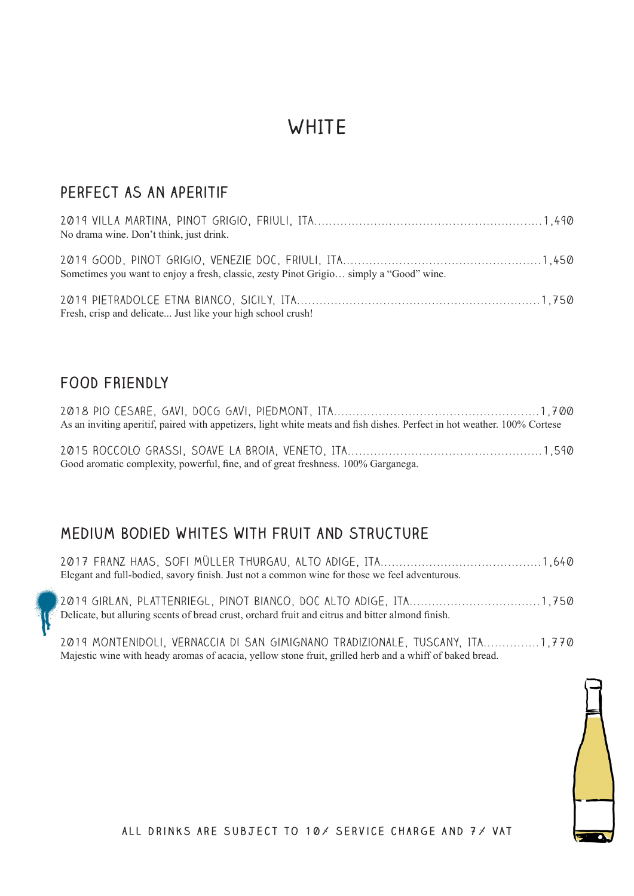# **WHITE**

### **perfect as an aperitif**

| No drama wine. Don't think, just drink.                                                |  |
|----------------------------------------------------------------------------------------|--|
|                                                                                        |  |
|                                                                                        |  |
| Sometimes you want to enjoy a fresh, classic, zesty Pinot Grigio simply a "Good" wine. |  |
|                                                                                        |  |
|                                                                                        |  |
| Fresh, crisp and delicate Just like your high school crush!                            |  |

#### **FOOD FRIENDLY**

| As an inviting aperitif, paired with appetizers, light white meats and fish dishes. Perfect in hot weather. 100% Cortese |  |
|--------------------------------------------------------------------------------------------------------------------------|--|
|                                                                                                                          |  |
|                                                                                                                          |  |
| Good aromatic complexity, powerful, fine, and of great freshness. 100% Garganega.                                        |  |

#### **Medium Bodied whites with fruit and structure**

| Elegant and full-bodied, savory finish. Just not a common wine for those we feel adventurous.    |  |
|--------------------------------------------------------------------------------------------------|--|
| Delicate, but alluring scents of bread crust, orchard fruit and citrus and bitter almond finish. |  |

2019 Montenidoli, Vernaccia di San Gimignano Tradizionale, Tuscany, ITA...............1,770 Majestic wine with heady aromas of acacia, yellow stone fruit, grilled herb and a whiff of baked bread.

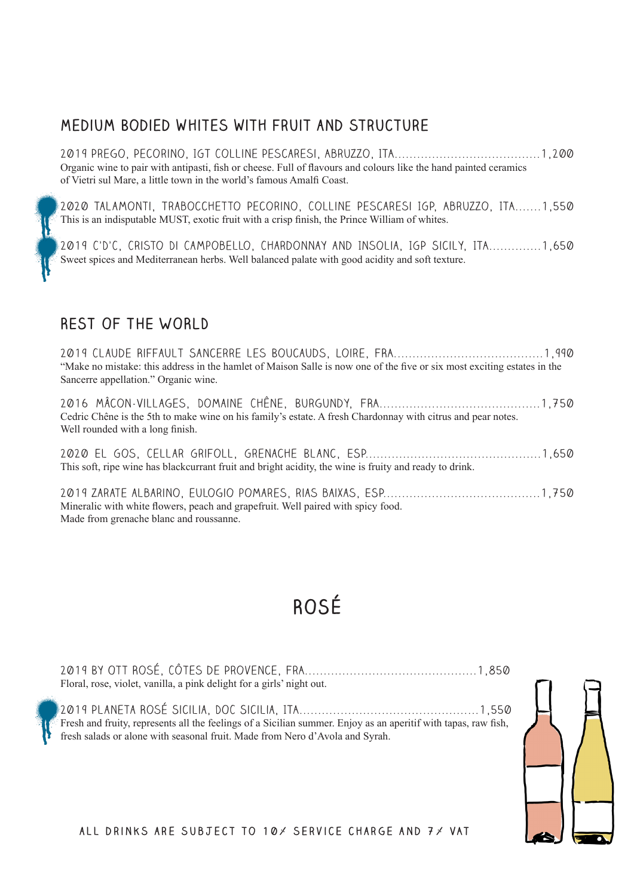#### **Medium Bodied whites with fruit and structure**

2019 Prego, Pecorino, IGT Colline Pescaresi, Abruzzo, ITA.......................................1,200 Organic wine to pair with antipasti, fish or cheese. Full of flavours and colours like the hand painted ceramics of Vietri sul Mare, a little town in the world's famous Amalfi Coast.

2020 Talamonti, Trabocchetto Pecorino, Colline Pescaresi IGP, Abruzzo, ITA.......1,550 This is an indisputable MUST, exotic fruit with a crisp finish, the Prince William of whites.

2019 C'D'C, Cristo Di Campobello, Chardonnay and Insolia, IGP Sicily, ITA..............1,650 Sweet spices and Mediterranean herbs. Well balanced palate with good acidity and soft texture.

#### **REST OF THE WORLD**

2019 Claude Riffault Sancerre les Boucauds, Loire, FRA........................................1,990 "Make no mistake: this address in the hamlet of Maison Salle is now one of the five or six most exciting estates in the Sancerre appellation." Organic wine.

2016 Mâcon-Villages, Domaine Chêne, Burgundy, FRA...........................................1,750 Cedric Chêne is the 5th to make wine on his family's estate. A fresh Chardonnay with citrus and pear notes. Well rounded with a long finish.

2020 El Gos, Cellar Grifoll, Grenache Blanc, ESP...............................................1,650 This soft, ripe wine has blackcurrant fruit and bright acidity, the wine is fruity and ready to drink.

2019 zarate albarino, eulogio pomares, rias baixas, ESP..........................................1,750 Mineralic with white flowers, peach and grapefruit. Well paired with spicy food. Made from grenache blanc and roussanne.

# **ROSÉ**





**all drinks are subject to 10% service charge and 7% VAT**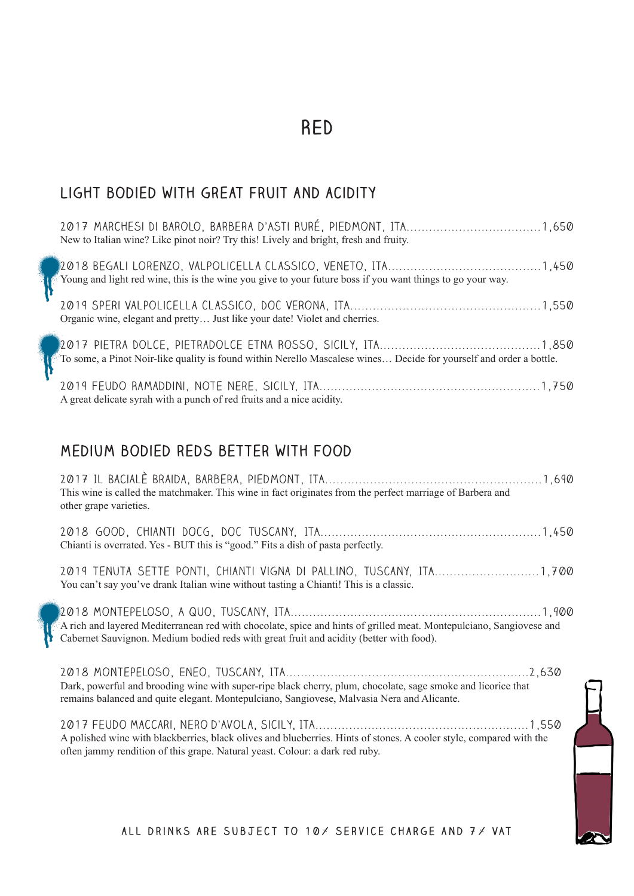### **RED**

 $\overline{\phantom{a}}$ 

#### **Light bodied with great fruit and acidity**

| New to Italian wine? Like pinot noir? Try this! Lively and bright, fresh and fruity.                               |
|--------------------------------------------------------------------------------------------------------------------|
| Young and light red wine, this is the wine you give to your future boss if you want things to go your way.         |
| Organic wine, elegant and pretty Just like your date! Violet and cherries.                                         |
| To some, a Pinot Noir-like quality is found within Nerello Mascalese wines Decide for yourself and order a bottle. |
| A great delicate syrah with a punch of red fruits and a nice acidity.                                              |

#### **Medium bodied reds better with food**

| This wine is called the matchmaker. This wine in fact originates from the perfect marriage of Barbera and<br>other grape varieties.                                                                            |  |
|----------------------------------------------------------------------------------------------------------------------------------------------------------------------------------------------------------------|--|
| Chianti is overrated. Yes - BUT this is "good." Fits a dish of pasta perfectly.                                                                                                                                |  |
| You can't say you've drank Italian wine without tasting a Chianti! This is a classic.                                                                                                                          |  |
| A rich and layered Mediterranean red with chocolate, spice and hints of grilled meat. Montepulciano, Sangiovese and<br>Cabernet Sauvignon. Medium bodied reds with great fruit and acidity (better with food). |  |
| Dark, powerful and brooding wine with super-ripe black cherry, plum, chocolate, sage smoke and licorice that<br>remains balanced and quite elegant. Montepulciano, Sangiovese, Malvasia Nera and Alicante.     |  |

2017 Feudo Maccari, Nero d'Avola, Sicily, ITA.........................................................1,550 A polished wine with blackberries, black olives and blueberries. Hints of stones. A cooler style, compared with the often jammy rendition of this grape. Natural yeast. Colour: a dark red ruby.

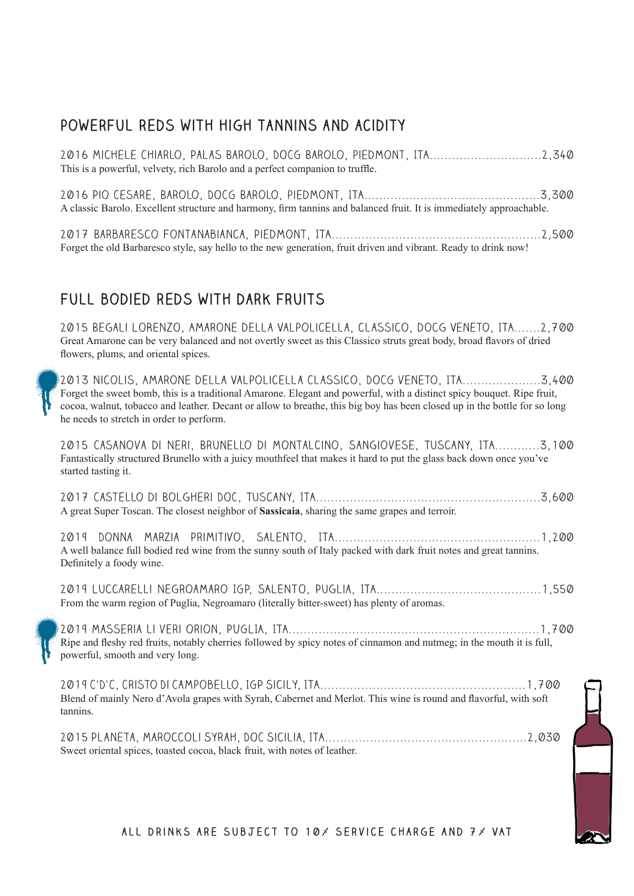### **powerful reds with high tannins and acidity**

| 2016 MICHELE CHIARLO, PALAS BAROLO, DOCG BAROLO, PIEDMONT, ITA2,340<br>This is a powerful, velvety, rich Barolo and a perfect companion to truffle.                                                                                                                                                                                                                         |
|-----------------------------------------------------------------------------------------------------------------------------------------------------------------------------------------------------------------------------------------------------------------------------------------------------------------------------------------------------------------------------|
| A classic Barolo. Excellent structure and harmony, firm tannins and balanced fruit. It is immediately approachable.                                                                                                                                                                                                                                                         |
| Forget the old Barbaresco style, say hello to the new generation, fruit driven and vibrant. Ready to drink now!                                                                                                                                                                                                                                                             |
|                                                                                                                                                                                                                                                                                                                                                                             |
| FULL BODIED REDS WITH DARK FRUITS                                                                                                                                                                                                                                                                                                                                           |
| 2015 BEGALI LORENZO, AMARONE DELLA VALPOLICELLA, CLASSICO, DOCG VENETO, ITA2,700<br>Great Amarone can be very balanced and not overtly sweet as this Classico struts great body, broad flavors of dried<br>flowers, plums, and oriental spices.                                                                                                                             |
| 2013 NICOLIS, AMARONE DELLA VALPOLICELLA CLASSICO, DOCG VENETO, ITA3,400<br>Forget the sweet bomb, this is a traditional Amarone. Elegant and powerful, with a distinct spicy bouquet. Ripe fruit,<br>cocoa, walnut, tobacco and leather. Decant or allow to breathe, this big boy has been closed up in the bottle for so long<br>he needs to stretch in order to perform. |
| 2015 CASANOVA DI NERI, BRUNELLO DI MONTALCINO, SANGIOVESE, TUSCANY, ITA3,100<br>Fantastically structured Brunello with a juicy mouthfeel that makes it hard to put the glass back down once you've<br>started tasting it.                                                                                                                                                   |
| A great Super Toscan. The closest neighbor of Sassicaia, sharing the same grapes and terroir.                                                                                                                                                                                                                                                                               |
| A well balance full bodied red wine from the sunny south of Italy packed with dark fruit notes and great tannins.<br>Definitely a foody wine.                                                                                                                                                                                                                               |
| From the warm region of Puglia, Negroamaro (literally bitter-sweet) has plenty of aromas.                                                                                                                                                                                                                                                                                   |
| Ripe and fleshy red fruits, notably cherries followed by spicy notes of cinnamon and nutmeg; in the mouth it is full,<br>powerful, smooth and very long.                                                                                                                                                                                                                    |
| Blend of mainly Nero d'Avola grapes with Syrah, Cabernet and Merlot. This wine is round and flavorful, with soft<br>tannins.                                                                                                                                                                                                                                                |
| Sweet oriental spices, toasted cocoa, black fruit, with notes of leather.                                                                                                                                                                                                                                                                                                   |
|                                                                                                                                                                                                                                                                                                                                                                             |